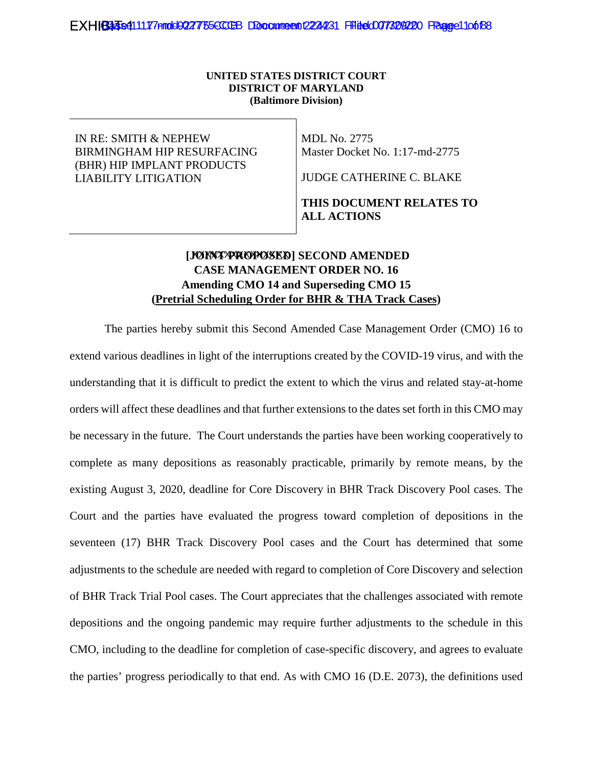#### **UNITED STATES DISTRICT COURT DISTRICT OF MARYLAND (Baltimore Division)**

IN RE: SMITH & NEPHEW BIRMINGHAM HIP RESURFACING (BHR) HIP IMPLANT PRODUCTS LIABILITY LITIGATION

MDL No. 2775 Master Docket No. 1:17-md-2775

JUDGE CATHERINE C. BLAKE

### **THIS DOCUMENT RELATES TO ALL ACTIONS**

# [**JOINT PROPOSED**] SECOND AMENDED **CASE MANAGEMENT ORDER NO. 16 Amending CMO 14 and Superseding CMO 15 (Pretrial Scheduling Order for BHR & THA Track Cases)**

The parties hereby submit this Second Amended Case Management Order (CMO) 16 to extend various deadlines in light of the interruptions created by the COVID-19 virus, and with the understanding that it is difficult to predict the extent to which the virus and related stay-at-home orders will affect these deadlines and that further extensions to the dates set forth in this CMO may be necessary in the future. The Court understands the parties have been working cooperatively to complete as many depositions as reasonably practicable, primarily by remote means, by the existing August 3, 2020, deadline for Core Discovery in BHR Track Discovery Pool cases. The Court and the parties have evaluated the progress toward completion of depositions in the seventeen (17) BHR Track Discovery Pool cases and the Court has determined that some adjustments to the schedule are needed with regard to completion of Core Discovery and selection of BHR Track Trial Pool cases. The Court appreciates that the challenges associated with remote depositions and the ongoing pandemic may require further adjustments to the schedule in this CMO, including to the deadline for completion of case-specific discovery, and agrees to evaluate the parties' progress periodically to that end. As with CMO 16 (D.E. 2073), the definitions used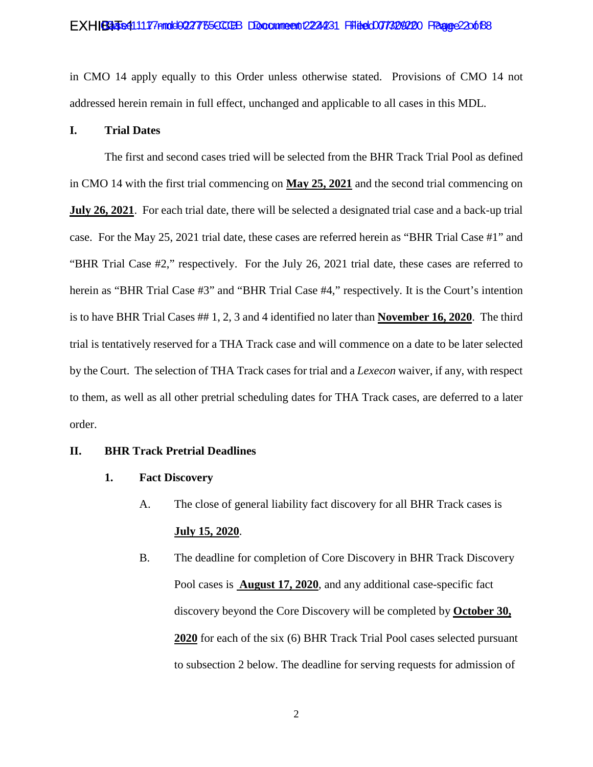#### EXHIBA 354111177 Annold 0227755 CCCBB DDocounnee to 1224231 Filited 0077329220 FRage 220 to 188

in CMO 14 apply equally to this Order unless otherwise stated. Provisions of CMO 14 not addressed herein remain in full effect, unchanged and applicable to all cases in this MDL.

### **I. Trial Dates**

The first and second cases tried will be selected from the BHR Track Trial Pool as defined in CMO 14 with the first trial commencing on **May 25, 2021** and the second trial commencing on **July 26, 2021**. For each trial date, there will be selected a designated trial case and a back-up trial case. For the May 25, 2021 trial date, these cases are referred herein as "BHR Trial Case #1" and "BHR Trial Case #2," respectively. For the July 26, 2021 trial date, these cases are referred to herein as "BHR Trial Case #3" and "BHR Trial Case #4," respectively. It is the Court's intention is to have BHR Trial Cases ## 1, 2, 3 and 4 identified no later than **November 16, 2020**. The third trial is tentatively reserved for a THA Track case and will commence on a date to be later selected by the Court. The selection of THA Track cases for trial and a *Lexecon* waiver, if any, with respect to them, as well as all other pretrial scheduling dates for THA Track cases, are deferred to a later order.

#### **II. BHR Track Pretrial Deadlines**

- **1. Fact Discovery** 
	- A. The close of general liability fact discovery for all BHR Track cases is **July 15, 2020**.
	- B. The deadline for completion of Core Discovery in BHR Track Discovery Pool cases is **August 17, 2020**, and any additional case-specific fact discovery beyond the Core Discovery will be completed by **October 30, 2020** for each of the six (6) BHR Track Trial Pool cases selected pursuant to subsection 2 below. The deadline for serving requests for admission of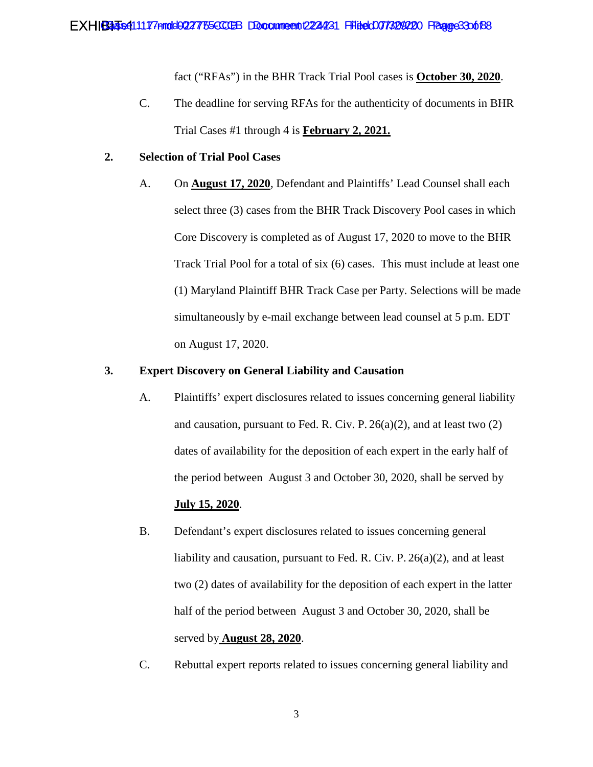fact ("RFAs") in the BHR Track Trial Pool cases is **October 30, 2020**.

C. The deadline for serving RFAs for the authenticity of documents in BHR Trial Cases #1 through 4 is **February 2, 2021.** 

# **2. Selection of Trial Pool Cases**

A. On **August 17, 2020**, Defendant and Plaintiffs' Lead Counsel shall each select three (3) cases from the BHR Track Discovery Pool cases in which Core Discovery is completed as of August 17, 2020 to move to the BHR Track Trial Pool for a total of six (6) cases. This must include at least one (1) Maryland Plaintiff BHR Track Case per Party. Selections will be made simultaneously by e-mail exchange between lead counsel at 5 p.m. EDT on August 17, 2020.

# **3. Expert Discovery on General Liability and Causation**

- A. Plaintiffs' expert disclosures related to issues concerning general liability and causation, pursuant to Fed. R. Civ. P.  $26(a)(2)$ , and at least two  $(2)$ dates of availability for the deposition of each expert in the early half of the period between August 3 and October 30, 2020, shall be served by **July 15, 2020**.
- B. Defendant's expert disclosures related to issues concerning general liability and causation, pursuant to Fed. R. Civ. P. 26(a)(2), and at least two (2) dates of availability for the deposition of each expert in the latter half of the period between August 3 and October 30, 2020, shall be served by **August 28, 2020**.
- C. Rebuttal expert reports related to issues concerning general liability and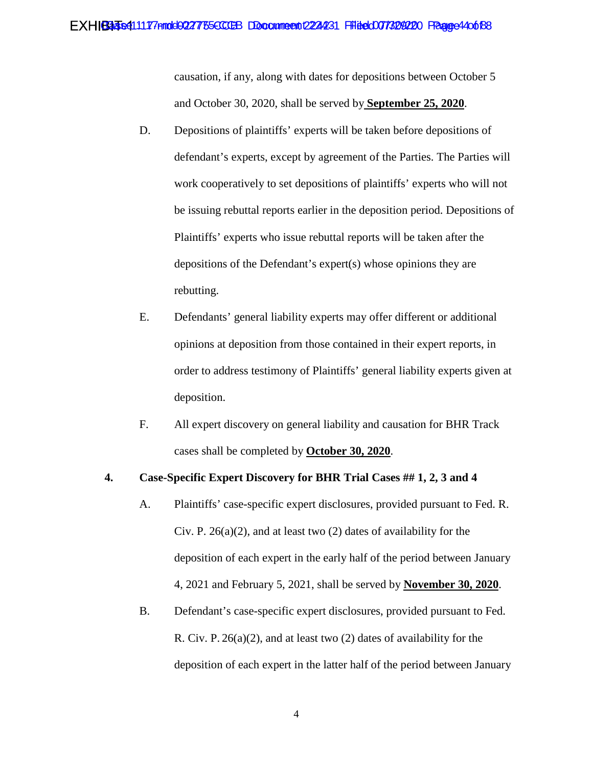causation, if any, along with dates for depositions between October 5 and October 30, 2020, shall be served by **September 25, 2020**.

- D. Depositions of plaintiffs' experts will be taken before depositions of defendant's experts, except by agreement of the Parties. The Parties will work cooperatively to set depositions of plaintiffs' experts who will not be issuing rebuttal reports earlier in the deposition period. Depositions of Plaintiffs' experts who issue rebuttal reports will be taken after the depositions of the Defendant's expert(s) whose opinions they are rebutting.
- E. Defendants' general liability experts may offer different or additional opinions at deposition from those contained in their expert reports, in order to address testimony of Plaintiffs' general liability experts given at deposition.
- F. All expert discovery on general liability and causation for BHR Track cases shall be completed by **October 30, 2020**.

### **4. Case-Specific Expert Discovery for BHR Trial Cases ## 1, 2, 3 and 4**

- A. Plaintiffs' case-specific expert disclosures, provided pursuant to Fed. R. Civ. P.  $26(a)(2)$ , and at least two  $(2)$  dates of availability for the deposition of each expert in the early half of the period between January 4, 2021 and February 5, 2021, shall be served by **November 30, 2020**.
- B. Defendant's case-specific expert disclosures, provided pursuant to Fed. R. Civ. P. 26(a)(2), and at least two (2) dates of availability for the deposition of each expert in the latter half of the period between January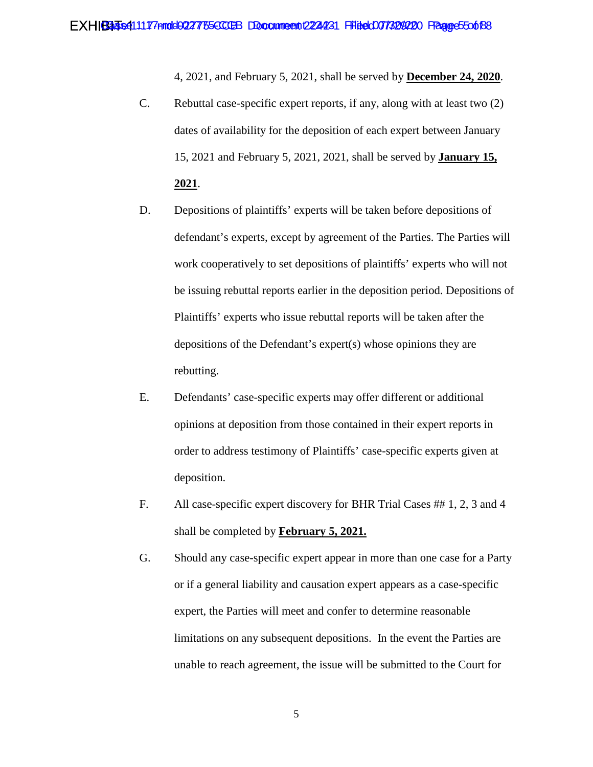4, 2021, and February 5, 2021, shall be served by **December 24, 2020**.

- C. Rebuttal case-specific expert reports, if any, along with at least two (2) dates of availability for the deposition of each expert between January 15, 2021 and February 5, 2021, 2021, shall be served by **January 15, 2021**.
- D. Depositions of plaintiffs' experts will be taken before depositions of defendant's experts, except by agreement of the Parties. The Parties will work cooperatively to set depositions of plaintiffs' experts who will not be issuing rebuttal reports earlier in the deposition period. Depositions of Plaintiffs' experts who issue rebuttal reports will be taken after the depositions of the Defendant's expert(s) whose opinions they are rebutting.
- E. Defendants' case-specific experts may offer different or additional opinions at deposition from those contained in their expert reports in order to address testimony of Plaintiffs' case-specific experts given at deposition.
- F. All case-specific expert discovery for BHR Trial Cases ## 1, 2, 3 and 4 shall be completed by **February 5, 2021.**
- G. Should any case-specific expert appear in more than one case for a Party or if a general liability and causation expert appears as a case-specific expert, the Parties will meet and confer to determine reasonable limitations on any subsequent depositions. In the event the Parties are unable to reach agreement, the issue will be submitted to the Court for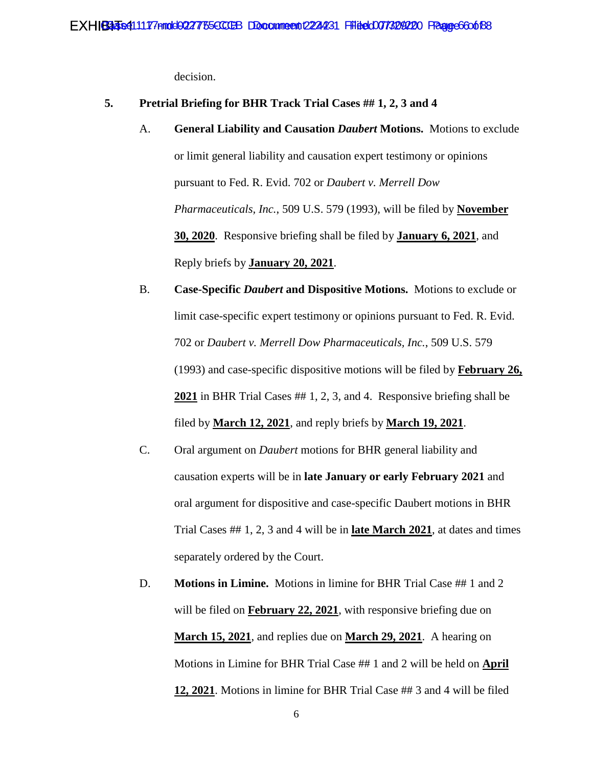decision.

#### **5. Pretrial Briefing for BHR Track Trial Cases ## 1, 2, 3 and 4**

- A. **General Liability and Causation** *Daubert* **Motions.** Motions to exclude or limit general liability and causation expert testimony or opinions pursuant to Fed. R. Evid. 702 or *Daubert v. Merrell Dow Pharmaceuticals, Inc.*, 509 U.S. 579 (1993), will be filed by **November 30, 2020**. Responsive briefing shall be filed by **January 6, 2021**, and Reply briefs by **January 20, 2021**.
- B. **Case-Specific** *Daubert* **and Dispositive Motions.** Motions to exclude or limit case-specific expert testimony or opinions pursuant to Fed. R. Evid. 702 or *Daubert v. Merrell Dow Pharmaceuticals, Inc.*, 509 U.S. 579 (1993) and case-specific dispositive motions will be filed by **February 26, 2021** in BHR Trial Cases ## 1, 2, 3, and 4. Responsive briefing shall be filed by **March 12, 2021**, and reply briefs by **March 19, 2021**.
- C. Oral argument on *Daubert* motions for BHR general liability and causation experts will be in **late January or early February 2021** and oral argument for dispositive and case-specific Daubert motions in BHR Trial Cases ## 1, 2, 3 and 4 will be in **late March 2021**, at dates and times separately ordered by the Court.
- D. **Motions in Limine.** Motions in limine for BHR Trial Case ## 1 and 2 will be filed on **February 22, 2021**, with responsive briefing due on **March 15, 2021**, and replies due on **March 29, 2021**. A hearing on Motions in Limine for BHR Trial Case ## 1 and 2 will be held on **April 12, 2021**. Motions in limine for BHR Trial Case ## 3 and 4 will be filed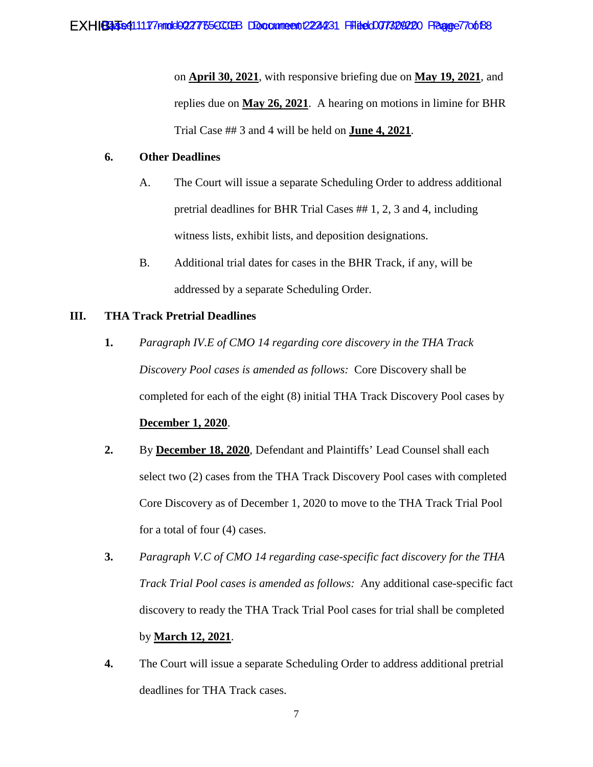on **April 30, 2021**, with responsive briefing due on **May 19, 2021**, and replies due on **May 26, 2021**. A hearing on motions in limine for BHR Trial Case ## 3 and 4 will be held on **June 4, 2021**.

# **6. Other Deadlines**

- A. The Court will issue a separate Scheduling Order to address additional pretrial deadlines for BHR Trial Cases ## 1, 2, 3 and 4, including witness lists, exhibit lists, and deposition designations.
- B. Additional trial dates for cases in the BHR Track, if any, will be addressed by a separate Scheduling Order.

# **III. THA Track Pretrial Deadlines**

- **1.** *Paragraph IV.E of CMO 14 regarding core discovery in the THA Track Discovery Pool cases is amended as follows:* Core Discovery shall be completed for each of the eight (8) initial THA Track Discovery Pool cases by **December 1, 2020**.
- **2.** By **December 18, 2020**, Defendant and Plaintiffs' Lead Counsel shall each select two (2) cases from the THA Track Discovery Pool cases with completed Core Discovery as of December 1, 2020 to move to the THA Track Trial Pool for a total of four (4) cases.
- **3.** *Paragraph V.C of CMO 14 regarding case-specific fact discovery for the THA Track Trial Pool cases is amended as follows:* Any additional case-specific fact discovery to ready the THA Track Trial Pool cases for trial shall be completed by **March 12, 2021**.
- **4.** The Court will issue a separate Scheduling Order to address additional pretrial deadlines for THA Track cases.